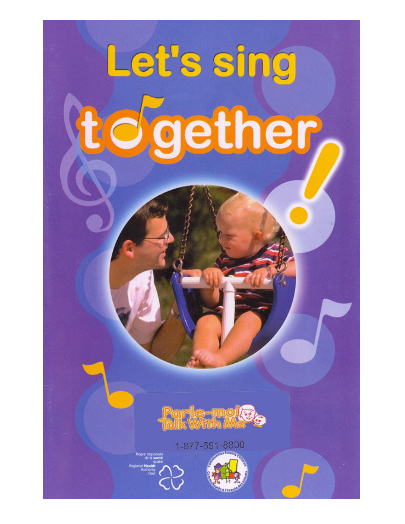# Let's sing together



1-877-691-8800

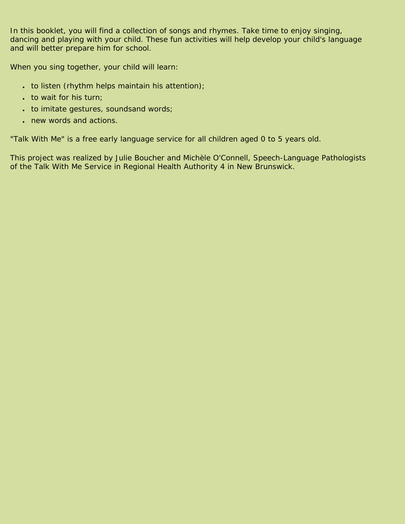In this booklet, you will find a collection of songs and rhymes. Take time to enjoy singing, dancing and playing with your child. These fun activities will help develop your child's language and will better prepare him for school.

When you sing together, your child will learn:

- $\cdot$  to listen (rhythm helps maintain his attention);
- to wait for his turn;
- to imitate gestures, soundsand words;
- new words and actions.

"Talk With Me" is a free early language service for all children aged 0 to 5 years old.

This project was realized by Julie Boucher and Michèle O'Connell, Speech-Language Pathologists of the Talk With Me Service in Regional Health Authority 4 in New Brunswick.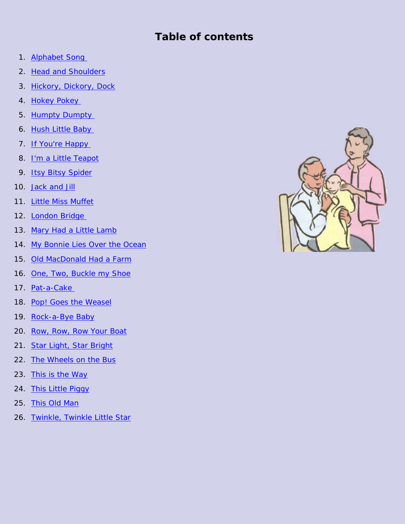#### **Table of contents**

- 1. [Alphabet Song](#page-3-0)
- 2. [Head and Shoulders](#page-3-0)
- 3. [Hickory, Dickory, Dock](#page-3-0)
- 4. Hokey Pokey
- 5. Humpty Dumpty
- 6. [Hush Little Baby](#page-5-0)
- 7. [If You're Happy](#page-6-0)
- 8. [I'm a Little Teapot](#page-6-0)
- 9. [Itsy Bitsy Spider](#page-6-0)
- 10. [Jack and Jill](#page-7-0)
- 11. [Little Miss Muffet](#page-7-0)
- 12. [London Bridge](#page-8-0)
- 13. [Mary Had a Little Lamb](#page-9-0)
- 14. [My Bonnie Lies Over the Ocean](#page-10-0)
- 15. [Old MacDonald Had a Farm](#page-11-0)
- 16. [One, Two, Buckle my Shoe](#page-12-0)
- 17. [Pat-a-Cake](#page-12-0)
- 18. [Pop! Goes the Weasel](#page-12-0)
- 19. [Rock-a-Bye Baby](#page-13-0)
- 20. [Row, Row, Row Your Boat](#page-14-0)
- 21. [Star Light, Star Bright](#page-14-0)
- 22. [The Wheels on the Bus](#page-15-0)
- 23. [This is the Way](#page-16-0)
- 24. [This Little Piggy](#page-16-0)
- 25. [This Old Man](#page-17-0)
- 26. [Twinkle, Twinkle Little Star](#page-17-0)

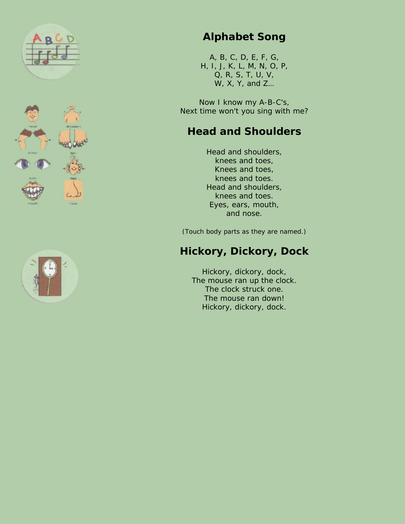<span id="page-3-0"></span>





## **Alphabet Song**

A, B, C, D, E, F, G, H, I, J, K, L, M, N, O, P, Q, R, S, T, U, V, W, X, Y, and Z…

Now I know my A-B-C's, Next time won't you sing with me?

## **Head and Shoulders**

Head and shoulders, knees and toes, Knees and toes, knees and toes. Head and shoulders, knees and toes. Eyes, ears, mouth, and nose.

(Touch body parts as they are named.)

# **Hickory, Dickory, Dock**

Hickory, dickory, dock, The mouse ran up the clock. The clock struck one. The mouse ran down! Hickory, dickory, dock.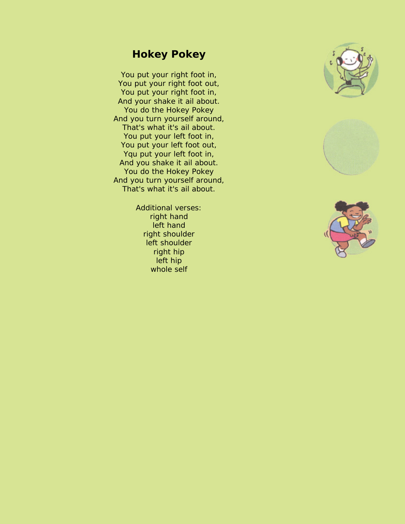#### **Hokey Pokey**

<span id="page-4-0"></span>You put your right foot in, You put your right foot out, You put your right foot in, And your shake it ail about. You do the Hokey Pokey And you turn yourself around, That's what it's ail about. You put your left foot in, You put your left foot out, Yqu put your left foot in, And you shake it ail about. You do the Hokey Pokey And you turn yourself around, That's what it's ail about.

> Additional verses: right hand left hand right shoulder left shoulder right hip left hip whole self





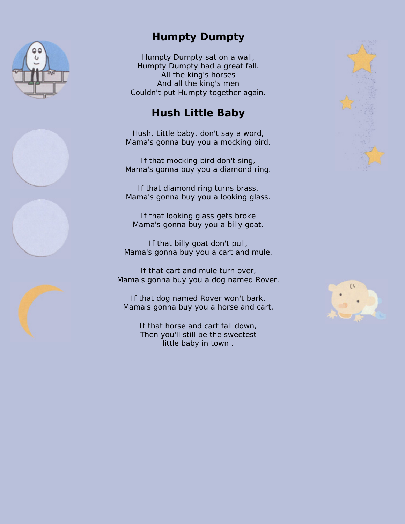<span id="page-5-0"></span>

## **Humpty Dumpty**

Humpty Dumpty sat on a wall, Humpty Dumpty had a great fall. All the king's horses And all the king's men Couldn't put Humpty together again.

## **Hush Little Baby**

Hush, Little baby, don't say a word, Mama's gonna buy you a mocking bird.

If that mocking bird don't sing, Mama's gonna buy you a diamond ring.

If that diamond ring turns brass, Mama's gonna buy you a looking glass.

If that looking glass gets broke Mama's gonna buy you a billy goat.

If that billy goat don't pull, Mama's gonna buy you a cart and mule.

If that cart and mule turn over, Mama's gonna buy you a dog named Rover.

If that dog named Rover won't bark, Mama's gonna buy you a horse and cart.

> If that horse and cart fall down, Then you'll still be the sweetest little baby in town .





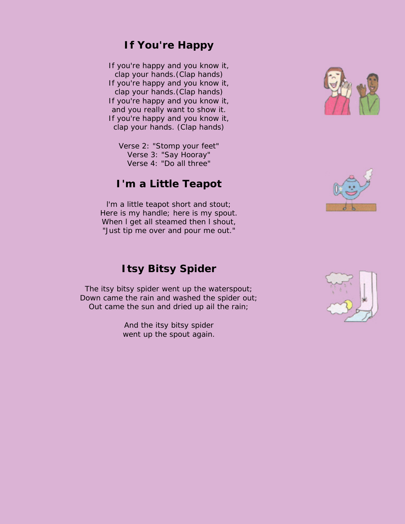#### **If You're Happy**

<span id="page-6-0"></span>If you're happy and you know it, clap your hands.(Clap hands) If you're happy and you know it, clap your hands.(Clap hands) If you're happy and you know it, and you really want to show it. If you're happy and you know it, clap your hands. (Clap hands)

Verse 2: "Stomp your feet" Verse 3: "Say Hooray" Verse 4: "Do all three"

#### **I'm a Little Teapot**

l'm a little teapot short and stout; Here is my handle; here is my spout. When I get all steamed then I shout, "Just tip me over and pour me out."

### **Itsy Bitsy Spider**

The itsy bitsy spider went up the waterspout; Down came the rain and washed the spider out; Out came the sun and dried up ail the rain;

> And the itsy bitsy spider went up the spout again.





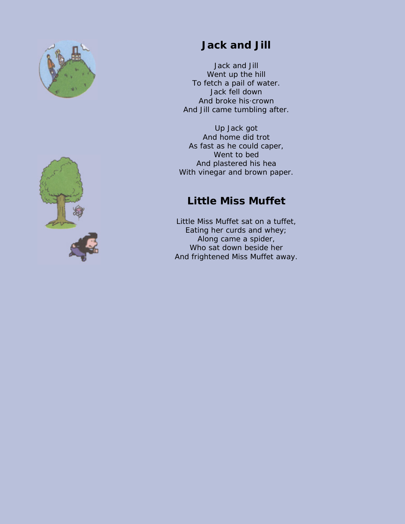<span id="page-7-0"></span>



## **Jack and Jill**

Jack and Jill Went up the hill To fetch a pail of water. Jack fell down And broke his·crown And Jill came tumbling after.

Up Jack got And home did trot As fast as he could caper, Went to bed And plastered his hea With vinegar and brown paper.

## **Little Miss Muffet**

Little Miss Muffet sat on a tuffet, Eating her curds and whey; Along came a spider, Who sat down beside her And frightened Miss Muffet away.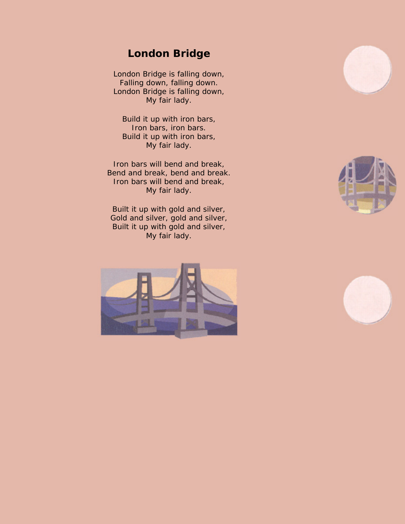#### **London Bridge**

<span id="page-8-0"></span>London Bridge is falling down, Falling down, falling down. London Bridge is falling down, My fair lady.

Build it up with iron bars, Iron bars, iron bars. Build it up with iron bars, My fair lady.

Iron bars will bend and break, Bend and break, bend and break. Iron bars will bend and break, My fair lady.

Built it up with gold and silver, Gold and silver, gold and silver, Built it up with gold and silver, My fair lady.







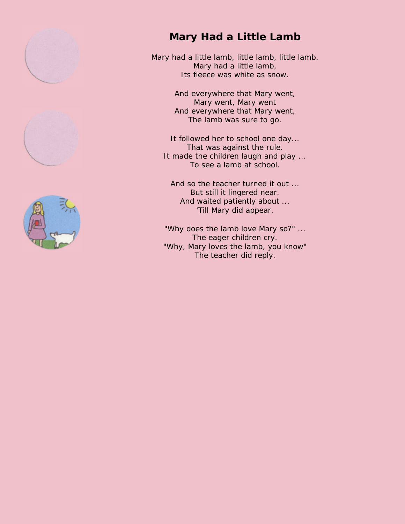<span id="page-9-0"></span>





## **Mary Had a Little Lamb**

Mary had a little lamb, little lamb, little lamb. Mary had a little lamb, Its fleece was white as snow.

> And everywhere that Mary went, Mary went, Mary went And everywhere that Mary went, The lamb was sure to go.

It followed her to school one day... That was against the rule. It made the children laugh and play ... To see a lamb at school.

And so the teacher turned it out ... But still it lingered near. And waited patiently about ... 'Till Mary did appear.

"Why does the lamb love Mary so?" ... The eager children cry. "Why, Mary loves the lamb, you know" The teacher did reply.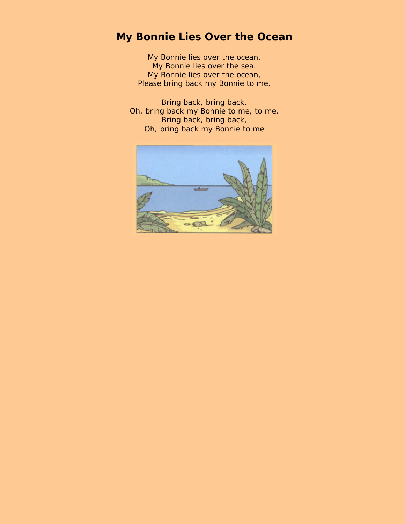## <span id="page-10-0"></span>**My Bonnie Lies Over the Ocean**

My Bonnie lies over the ocean, My Bonnie lies over the sea. My Bonnie lies over the ocean, Please bring back my Bonnie to me.

Bring back, bring back, Oh, bring back my Bonnie to me, to me. Bring back, bring back, Oh, bring back my Bonnie to me

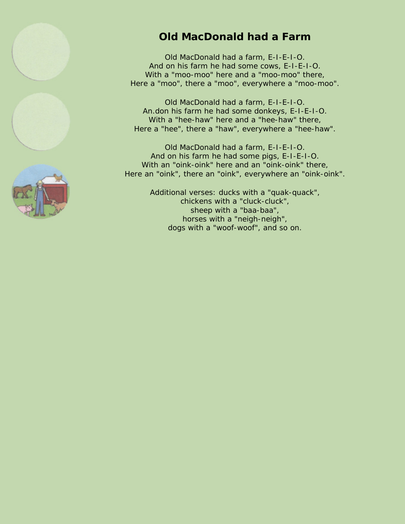<span id="page-11-0"></span>





## **Old MacDonald had a Farm**

Old MacDonald had a farm, E-I-E-I-O. And on his farm he had some cows, E-I-E-I-O. With a "moo-moo" here and a "moo-moo" there, Here a "moo", there a "moo", everywhere a "moo-moo".

Old MacDonald had a farm, E-I-E-I-O. An.don his farm he had some donkeys, E-I-E-I-O. With a "hee-haw" here and a "hee-haw" there, Here a "hee", there a "haw", everywhere a "hee-haw".

Old MacDonald had a farm, E-I-E-I-O. And on his farm he had some pigs, E-I-E-I-O. With an "oink-oink" here and an "oink-oink" there, Here an "oink", there an "oink", everywhere an "oink-oink".

> Additional verses: ducks with a "quak-quack", chickens with a "cluck-cluck", sheep with a "baa-baa", horses with a "neigh-neigh", dogs with a "woof-woof", and so on.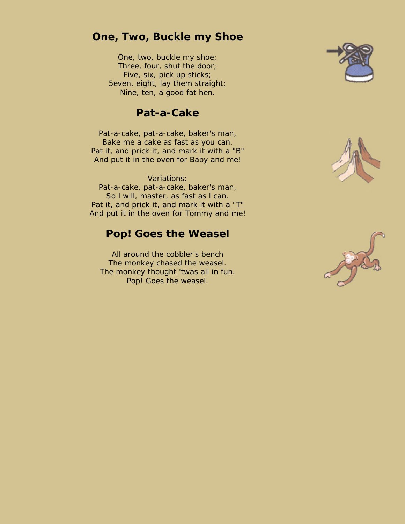#### <span id="page-12-0"></span>**One, Two, Buckle my Shoe**

One, two, buckle my shoe; Three, four, shut the door; Five, six, pick up sticks; 5even, eight, lay them straight; Nine, ten, a good fat hen.

#### **Pat-a-Cake**

Pat-a-cake, pat-a-cake, baker's man, Bake me a cake as fast as you can. Pat it, and prick it, and mark it with a "B" And put it in the oven for Baby and me!

Variations: Pat-a-cake, pat-a-cake, baker's man, So l will, master, as fast as l can. Pat it, and prick it, and mark it with a "T" And put it in the oven for Tommy and me!

#### **Pop! Goes the Weasel**

All around the cobbler's bench The monkey chased the weasel. The monkey thought 'twas all in fun. Pop! Goes the weasel.





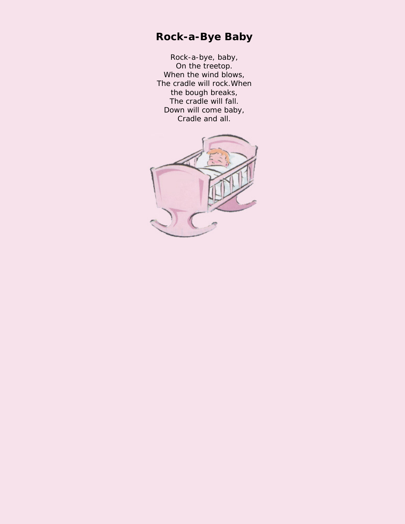## <span id="page-13-0"></span>**Rock-a-Bye Baby**

Rock-a-bye, baby, On the treetop. When the wind blows, The cradle will rock.When the bough breaks, The cradle will fall. Down will come baby, Cradle and all.

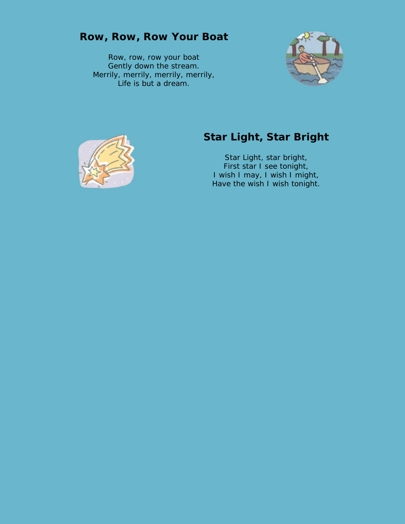<span id="page-14-0"></span>

Row, row, row your boat Gently down the stream. Merrily, merrily, merrily, merrily, Life is but a dream.





# **Star Light, Star Bright**

Star Light, star bright, First star I see tonight, I wish I may, I wish I might, Have the wish I wish tonight.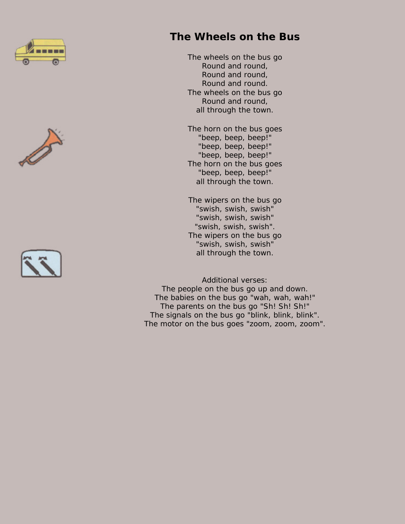<span id="page-15-0"></span>





## **The Wheels on the Bus**

The wheels on the bus go Round and round, Round and round, Round and round. The wheels on the bus go Round and round, all through the town.

The horn on the bus goes "beep, beep, beep!" "beep, beep, beep!" "beep, beep, beep!" The horn on the bus goes "beep, beep, beep!" all through the town.

The wipers on the bus go "swish, swish, swish" "swish, swish, swish" "swish, swish, swish". The wipers on the bus go "swish, swish, swish" all through the town.

Additional verses: The people on the bus go up and down. The babies on the bus go "wah, wah, wah!" The parents on the bus go "Sh! Sh! Sh!" The signals on the bus go "blink, blink, blink". The motor on the bus goes "zoom, zoom, zoom".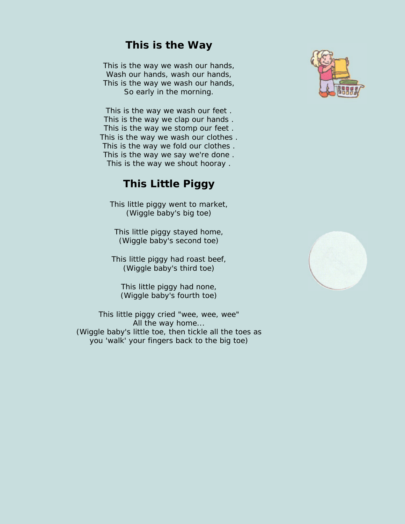#### **This is the Way**

<span id="page-16-0"></span>This is the way we wash our hands, Wash our hands, wash our hands, This is the way we wash our hands, So early in the morning.

This is the way we wash our feet . This is the way we clap our hands . This is the way we stomp our feet . This is the way we wash our clothes . This is the way we fold our clothes . This is the way we say we're done . This is the way we shout hooray .

#### **This Little Piggy**

This little piggy went to market, (Wiggle baby's big toe)

This little piggy stayed home, (Wiggle baby's second toe)

This little piggy had roast beef, (Wiggle baby's third toe)

This little piggy had none, (Wiggle baby's fourth toe)

This little piggy cried "wee, wee, wee" All the way home... (Wiggle baby's little toe, then tickle all the toes as you 'walk' your fingers back to the big toe)



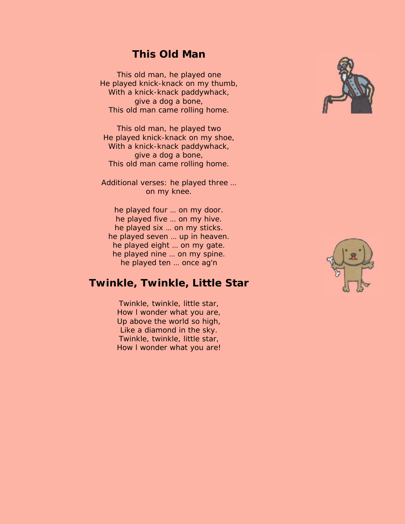#### **This Old Man**

<span id="page-17-0"></span>This old man, he played one He played knick-knack on my thumb, With a knick-knack paddywhack, give a dog a bone, This old man came rolling home.

This old man, he played two He played knick-knack on my shoe, With a knick-knack paddywhack, give a dog a bone, This old man came rolling home.

Additional verses: he played three … on my knee.

he played four … on my door. he played five … on my hive. he played six … on my sticks. he played seven … up in heaven. he played eight … on my gate. he played nine … on my spine. he played ten … once ag'n

#### **Twinkle, Twinkle, Little Star**

Twinkle, twinkle, little star, How l wonder what you are, Up above the world so high, Like a diamond in the sky. Twinkle, twinkle, little star, How l wonder what you are!